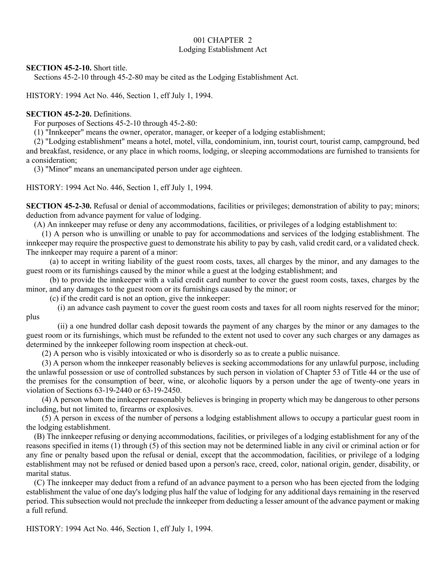# 001 CHAPTER 2 Lodging Establishment Act

**SECTION 45-2-10.** Short title.

Sections 45-2-10 through 45-2-80 may be cited as the Lodging Establishment Act.

HISTORY: 1994 Act No. 446, Section 1, eff July 1, 1994.

### **SECTION 45-2-20.** Definitions.

For purposes of Sections 45-2-10 through 45-2-80:

(1) "Innkeeper" means the owner, operator, manager, or keeper of a lodging establishment;

(2) "Lodging establishment" means a hotel, motel, villa, condominium, inn, tourist court, tourist camp, campground, bed and breakfast, residence, or any place in which rooms, lodging, or sleeping accommodations are furnished to transients for a consideration;

(3) "Minor" means an unemancipated person under age eighteen.

HISTORY: 1994 Act No. 446, Section 1, eff July 1, 1994.

**SECTION 45-2-30.** Refusal or denial of accommodations, facilities or privileges; demonstration of ability to pay; minors; deduction from advance payment for value of lodging.

(A) An innkeeper may refuse or deny any accommodations, facilities, or privileges of a lodging establishment to:

(1) A person who is unwilling or unable to pay for accommodations and services of the lodging establishment. The innkeeper may require the prospective guest to demonstrate his ability to pay by cash, valid credit card, or a validated check. The innkeeper may require a parent of a minor:

(a) to accept in writing liability of the guest room costs, taxes, all charges by the minor, and any damages to the guest room or its furnishings caused by the minor while a guest at the lodging establishment; and

(b) to provide the innkeeper with a valid credit card number to cover the guest room costs, taxes, charges by the minor, and any damages to the guest room or its furnishings caused by the minor; or

(c) if the credit card is not an option, give the innkeeper:

(i) an advance cash payment to cover the guest room costs and taxes for all room nights reserved for the minor; plus

(ii) a one hundred dollar cash deposit towards the payment of any charges by the minor or any damages to the guest room or its furnishings, which must be refunded to the extent not used to cover any such charges or any damages as determined by the innkeeper following room inspection at check-out.

(2) A person who is visibly intoxicated or who is disorderly so as to create a public nuisance.

(3) A person whom the innkeeper reasonably believes is seeking accommodations for any unlawful purpose, including the unlawful possession or use of controlled substances by such person in violation of Chapter 53 of Title 44 or the use of the premises for the consumption of beer, wine, or alcoholic liquors by a person under the age of twenty-one years in violation of Sections 63-19-2440 or 63-19-2450.

(4) A person whom the innkeeper reasonably believes is bringing in property which may be dangerous to other persons including, but not limited to, firearms or explosives.

(5) A person in excess of the number of persons a lodging establishment allows to occupy a particular guest room in the lodging establishment.

(B) The innkeeper refusing or denying accommodations, facilities, or privileges of a lodging establishment for any of the reasons specified in items (1) through (5) of this section may not be determined liable in any civil or criminal action or for any fine or penalty based upon the refusal or denial, except that the accommodation, facilities, or privilege of a lodging establishment may not be refused or denied based upon a person's race, creed, color, national origin, gender, disability, or marital status.

(C) The innkeeper may deduct from a refund of an advance payment to a person who has been ejected from the lodging establishment the value of one day's lodging plus half the value of lodging for any additional days remaining in the reserved period. This subsection would not preclude the innkeeper from deducting a lesser amount of the advance payment or making a full refund.

HISTORY: 1994 Act No. 446, Section 1, eff July 1, 1994.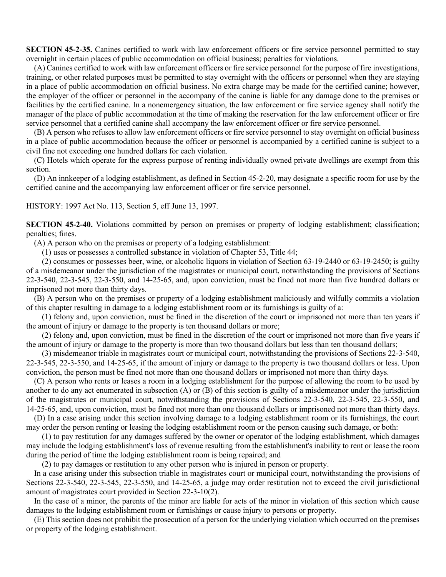**SECTION 45-2-35.** Canines certified to work with law enforcement officers or fire service personnel permitted to stay overnight in certain places of public accommodation on official business; penalties for violations.

(A) Canines certified to work with law enforcement officers or fire service personnel for the purpose of fire investigations, training, or other related purposes must be permitted to stay overnight with the officers or personnel when they are staying in a place of public accommodation on official business. No extra charge may be made for the certified canine; however, the employer of the officer or personnel in the accompany of the canine is liable for any damage done to the premises or facilities by the certified canine. In a nonemergency situation, the law enforcement or fire service agency shall notify the manager of the place of public accommodation at the time of making the reservation for the law enforcement officer or fire service personnel that a certified canine shall accompany the law enforcement officer or fire service personnel.

(B) A person who refuses to allow law enforcement officers or fire service personnel to stay overnight on official business in a place of public accommodation because the officer or personnel is accompanied by a certified canine is subject to a civil fine not exceeding one hundred dollars for each violation.

(C) Hotels which operate for the express purpose of renting individually owned private dwellings are exempt from this section.

(D) An innkeeper of a lodging establishment, as defined in Section 45-2-20, may designate a specific room for use by the certified canine and the accompanying law enforcement officer or fire service personnel.

HISTORY: 1997 Act No. 113, Section 5, eff June 13, 1997.

**SECTION 45-2-40.** Violations committed by person on premises or property of lodging establishment; classification; penalties; fines.

(A) A person who on the premises or property of a lodging establishment:

(1) uses or possesses a controlled substance in violation of Chapter 53, Title 44;

(2) consumes or possesses beer, wine, or alcoholic liquors in violation of Section 63-19-2440 or 63-19-2450; is guilty of a misdemeanor under the jurisdiction of the magistrates or municipal court, notwithstanding the provisions of Sections 22-3-540, 22-3-545, 22-3-550, and 14-25-65, and, upon conviction, must be fined not more than five hundred dollars or imprisoned not more than thirty days.

(B) A person who on the premises or property of a lodging establishment maliciously and wilfully commits a violation of this chapter resulting in damage to a lodging establishment room or its furnishings is guilty of a:

(1) felony and, upon conviction, must be fined in the discretion of the court or imprisoned not more than ten years if the amount of injury or damage to the property is ten thousand dollars or more;

(2) felony and, upon conviction, must be fined in the discretion of the court or imprisoned not more than five years if the amount of injury or damage to the property is more than two thousand dollars but less than ten thousand dollars;

(3) misdemeanor triable in magistrates court or municipal court, notwithstanding the provisions of Sections 22-3-540, 22-3-545, 22-3-550, and 14-25-65, if the amount of injury or damage to the property is two thousand dollars or less. Upon conviction, the person must be fined not more than one thousand dollars or imprisoned not more than thirty days.

(C) A person who rents or leases a room in a lodging establishment for the purpose of allowing the room to be used by another to do any act enumerated in subsection (A) or (B) of this section is guilty of a misdemeanor under the jurisdiction of the magistrates or municipal court, notwithstanding the provisions of Sections 22-3-540, 22-3-545, 22-3-550, and 14-25-65, and, upon conviction, must be fined not more than one thousand dollars or imprisoned not more than thirty days.

(D) In a case arising under this section involving damage to a lodging establishment room or its furnishings, the court may order the person renting or leasing the lodging establishment room or the person causing such damage, or both:

(1) to pay restitution for any damages suffered by the owner or operator of the lodging establishment, which damages may include the lodging establishment's loss of revenue resulting from the establishment's inability to rent or lease the room during the period of time the lodging establishment room is being repaired; and

(2) to pay damages or restitution to any other person who is injured in person or property.

In a case arising under this subsection triable in magistrates court or municipal court, notwithstanding the provisions of Sections 22-3-540, 22-3-545, 22-3-550, and 14-25-65, a judge may order restitution not to exceed the civil jurisdictional amount of magistrates court provided in Section 22-3-10(2).

In the case of a minor, the parents of the minor are liable for acts of the minor in violation of this section which cause damages to the lodging establishment room or furnishings or cause injury to persons or property.

(E) This section does not prohibit the prosecution of a person for the underlying violation which occurred on the premises or property of the lodging establishment.